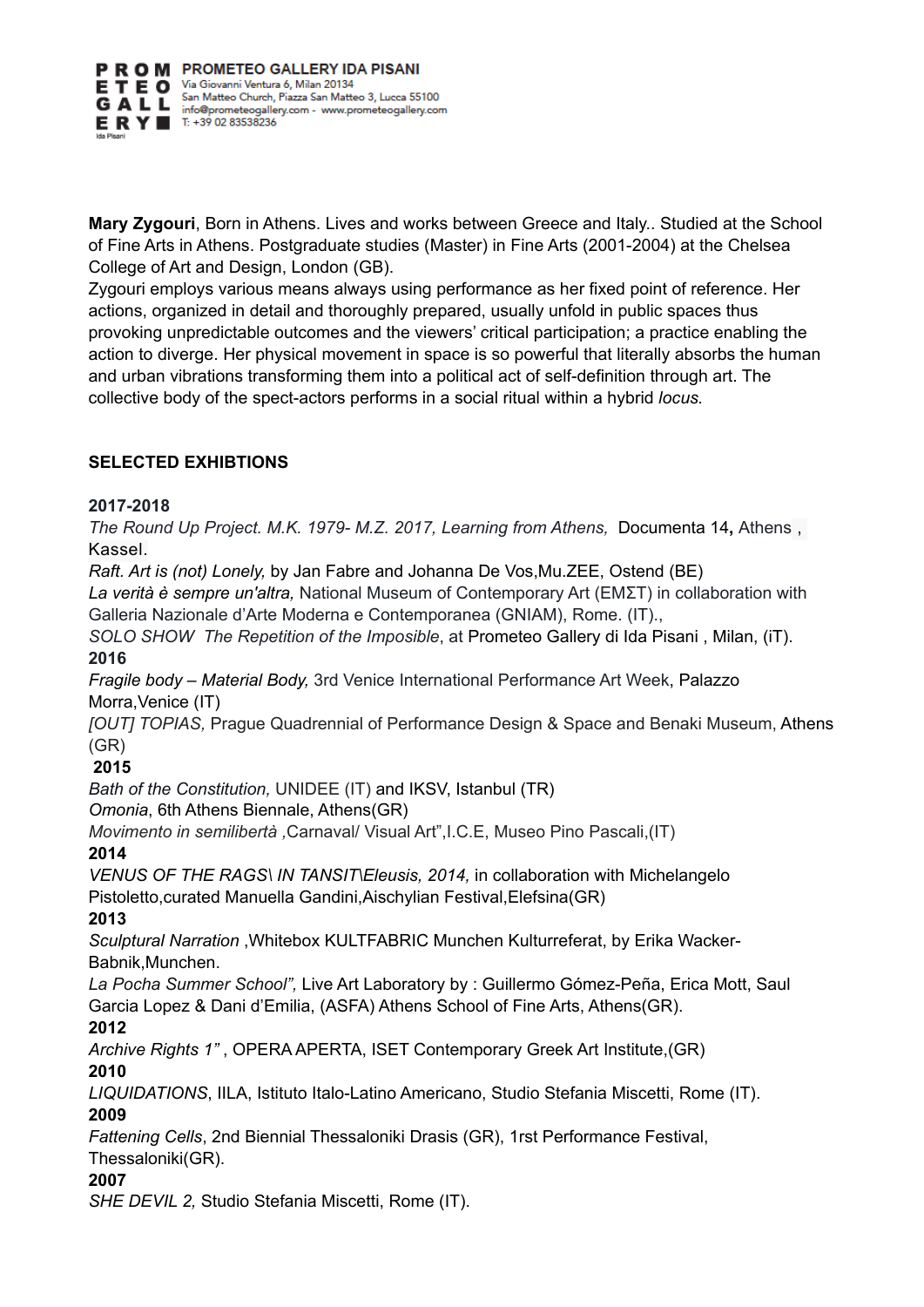

**Mary Zygouri**, Born in Athens. Lives and works between Greece and Italy.. Studied at the School of Fine Arts in Athens. Postgraduate studies (Master) in Fine Arts (2001-2004) at the Chelsea College of Art and Design, London (GB).

Zygouri employs various means always using performance as her fixed point of reference. Her actions, organized in detail and thoroughly prepared, usually unfold in public spaces thus provoking unpredictable outcomes and the viewers' critical participation; a practice enabling the action to diverge. Her physical movement in space is so powerful that literally absorbs the human and urban vibrations transforming them into a political act of self-definition through art. The collective body of the spect-actors performs in a social ritual within a hybrid *locus.* 

## **SELECTED EXHIBTIONS**

## **2017-2018**

*The Round Up Project. M.K. 1979- M.Z. 2017, Learning from Athens,* Documenta 14**,** Athens , Kassel.

*Raft. Art is (not) Lonely,* by Jan Fabre and Johanna De Vos,Mu.ZEE, Ostend (BE)

*La verità è sempre un'altra,* National Museum of Contemporary Art (ΕΜΣΤ) in collaboration with Galleria Nazionale d'Arte Moderna e Contemporanea (GNIAM), Rome. (IT).,

*SOLO SHOW The Repetition of the Imposible*, at Prometeo Gallery di Ida Pisani , Milan, (iT). **2016** 

*Fragile body – Material Body,* 3rd Venice International Performance Art Week, Palazzo Morra,Venice (IT)

*[OUT] TOPΙAS,* Prague Quadrennial of Performance Design & Space and Benaki Museum, Athens (GR)

## **2015**

*Bath of the Constitution,* UNIDEE (IT) and IKSV, Istanbul (TR)

*Omonia*, 6th Athens Biennale, Athens(GR)

*Movimento in semilibertà ,*Carnaval/ Visual Art",I.C.E, Museo Pino Pascali,(IT)

# **2014**

*VENUS OF THE RAGS\ IN TANSIT\Eleusis, 2014,* in collaboration with Michelangelo Pistoletto,curated Manuella Gandini,Aischylian Festival,Elefsina(GR)

## **2013**

*Sculptural Narration* ,Whitebox KULTFABRIC Munchen Kulturreferat, by Erika Wacker-Babnik,Munchen.

*La Pocha Summer School",* Live Art Laboratory by : Guillermo Gómez-Peña, Erica Mott, Saul Garcia Lopez & Dani d'Emilia, (ASFA) Athens School of Fine Arts, Athens(GR).

## **2012**

*Archive Rights 1"* , OPERA APERTA, ISET Contemporary Greek Art Institute,(GR) **2010** 

*LIQUIDATIONS*, IILA, Istituto Italo-Latino Americano, Studio Stefania Miscetti, Rome (IT). **2009** 

*Fattening Cells*, 2nd Biennial Thessaloniki Drasis (GR), 1rst Performance Festival, Thessaloniki(GR).

# **2007**

*SHE DEVIL 2,* Studio Stefania Miscetti, Rome (IT).